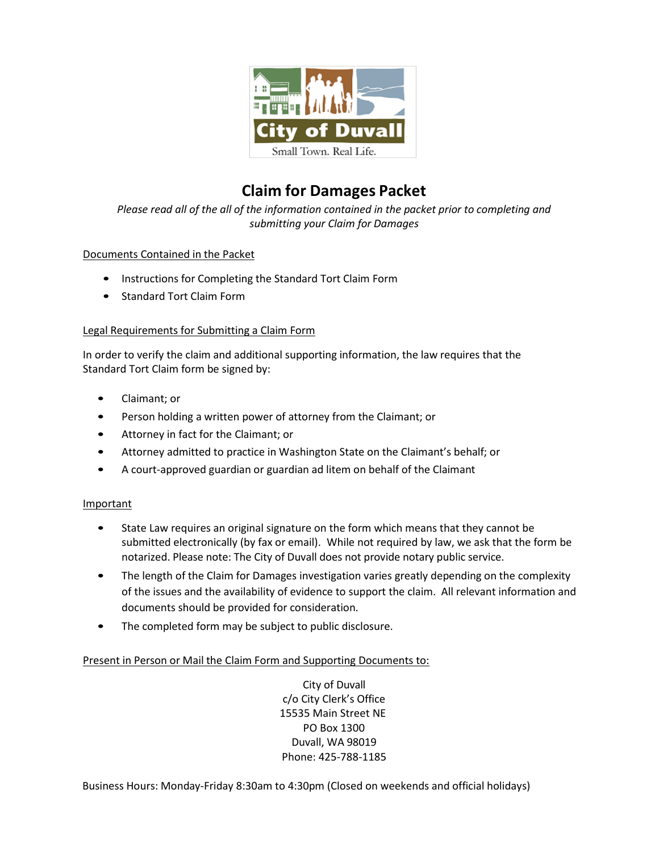

# **Claim for Damages Packet**

*Please read all of the all of the information contained in the packet prior to completing and submitting your Claim for Damages*

### Documents Contained in the Packet

- Instructions for Completing the Standard Tort Claim Form
- Standard Tort Claim Form

#### Legal Requirements for Submitting a Claim Form

In order to verify the claim and additional supporting information, the law requires that the Standard Tort Claim form be signed by:

- Claimant; or
- Person holding a written power of attorney from the Claimant; or
- Attorney in fact for the Claimant; or
- Attorney admitted to practice in Washington State on the Claimant's behalf; or
- A court-approved guardian or guardian ad litem on behalf of the Claimant

#### Important

- State Law requires an original signature on the form which means that they cannot be submitted electronically (by fax or email). While not required by law, we ask that the form be notarized. Please note: The City of Duvall does not provide notary public service.
- The length of the Claim for Damages investigation varies greatly depending on the complexity of the issues and the availability of evidence to support the claim. All relevant information and documents should be provided for consideration.
- The completed form may be subject to public disclosure.

#### Present in Person or Mail the Claim Form and Supporting Documents to:

City of Duvall c/o City Clerk's Office 15535 Main Street NE PO Box 1300 Duvall, WA 98019 Phone: 425-788-1185

Business Hours: Monday-Friday 8:30am to 4:30pm (Closed on weekends and official holidays)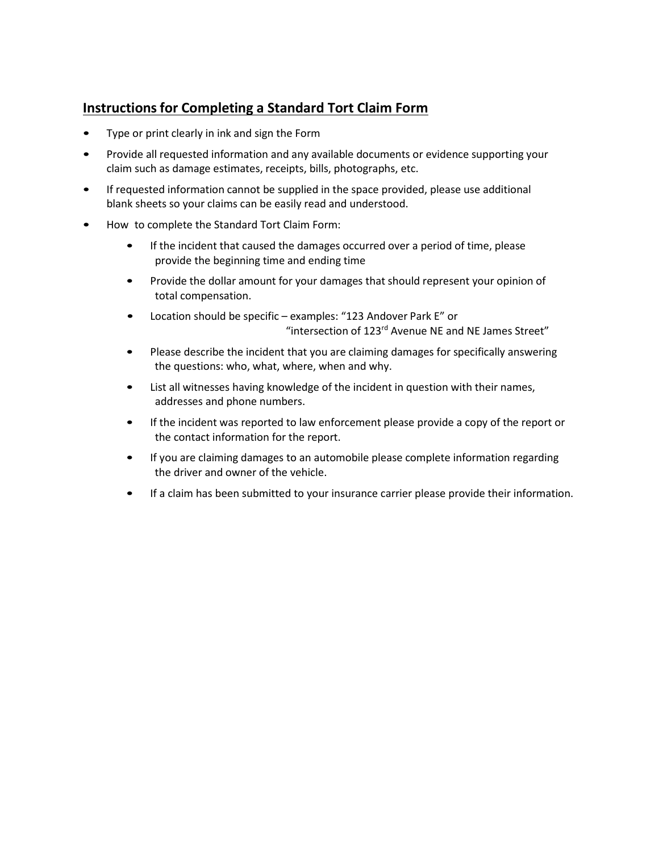## **Instructions for Completing a Standard Tort Claim Form**

- Type or print clearly in ink and sign the Form
- Provide all requested information and any available documents or evidence supporting your claim such as damage estimates, receipts, bills, photographs, etc.
- If requested information cannot be supplied in the space provided, please use additional blank sheets so your claims can be easily read and understood.
- How to complete the Standard Tort Claim Form:
	- If the incident that caused the damages occurred over a period of time, please provide the beginning time and ending time
	- Provide the dollar amount for your damages that should represent your opinion of total compensation.
	- Location should be specific examples: "123 Andover Park E" or "intersection of 123rd Avenue NE and NE James Street"
	- Please describe the incident that you are claiming damages for specifically answering the questions: who, what, where, when and why.
	- List all witnesses having knowledge of the incident in question with their names, addresses and phone numbers.
	- If the incident was reported to law enforcement please provide a copy of the report or the contact information for the report.
	- If you are claiming damages to an automobile please complete information regarding the driver and owner of the vehicle.
	- If a claim has been submitted to your insurance carrier please provide their information.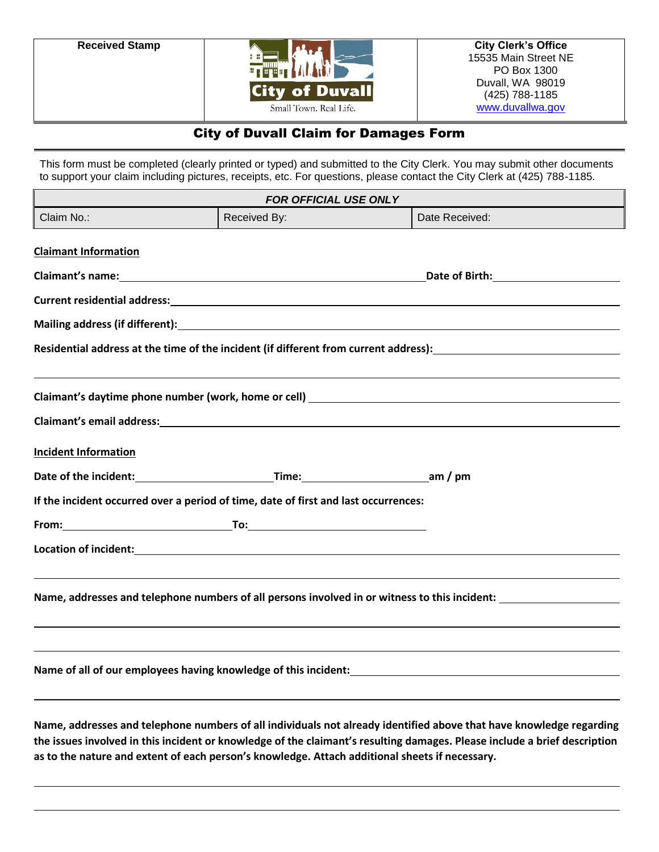

### City of Duvall Claim for Damages Form

This form must be completed (clearly printed or typed) and submitted to the City Clerk. You may submit other documents to support your claim including pictures, receipts, etc. For questions, please contact the City Clerk at (425) 788-1185.

| <b>FOR OFFICIAL USE ONLY</b> |                                                                                                |                                                                                                                                                                                                                                                  |  |
|------------------------------|------------------------------------------------------------------------------------------------|--------------------------------------------------------------------------------------------------------------------------------------------------------------------------------------------------------------------------------------------------|--|
| Claim No.:                   | Received By:                                                                                   | Date Received:                                                                                                                                                                                                                                   |  |
| <b>Claimant Information</b>  |                                                                                                |                                                                                                                                                                                                                                                  |  |
|                              |                                                                                                | Date of Birth: National Assembly Pate of Birth:                                                                                                                                                                                                  |  |
|                              |                                                                                                |                                                                                                                                                                                                                                                  |  |
|                              |                                                                                                |                                                                                                                                                                                                                                                  |  |
|                              |                                                                                                | Residential address at the time of the incident (if different from current address): Network and the manner of                                                                                                                                   |  |
|                              |                                                                                                | Claimant's email address:<br><u>Claimant's email address:</u>                                                                                                                                                                                    |  |
| <b>Incident Information</b>  |                                                                                                |                                                                                                                                                                                                                                                  |  |
|                              | Date of the incident: Time: The contract of the incident:                                      |                                                                                                                                                                                                                                                  |  |
|                              | If the incident occurred over a period of time, date of first and last occurrences:            |                                                                                                                                                                                                                                                  |  |
|                              |                                                                                                |                                                                                                                                                                                                                                                  |  |
|                              |                                                                                                |                                                                                                                                                                                                                                                  |  |
|                              |                                                                                                | Name, addresses and telephone numbers of all persons involved in or witness to this incident:                                                                                                                                                    |  |
|                              | Name of all of our employees having knowledge of this incident:                                |                                                                                                                                                                                                                                                  |  |
|                              | as to the nature and extent of each person's knowledge. Attach additional sheets if necessary. | Name, addresses and telephone numbers of all individuals not already identified above that have knowledge regarding<br>the issues involved in this incident or knowledge of the claimant's resulting damages. Please include a brief description |  |